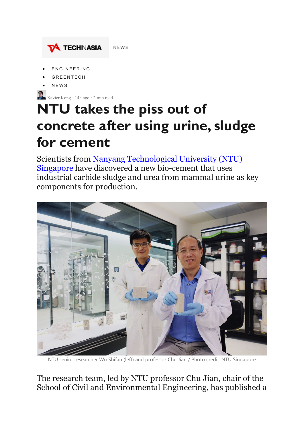

- **[ENGINEERING](https://www.techinasia.com/category/engineering)**
- **[GREENTECH](https://www.techinasia.com/category/green-tech)**
- [NEWS](https://www.techinasia.com/category/news)

Xavier Kong · 14h ago · 2 min read

## **NTU takes the piss out of concrete after using urine, sludge for cement**

Scientists from [Nanyang Technological University \(NTU\)](https://www.ntu.edu.sg/)  [Singapore](https://www.ntu.edu.sg/) have discovered a new bio-cement that uses industrial carbide sludge and urea from mammal urine as key components for production.



senior researcher Wu Shifan (left) and professor Chu Jian / Photo credit: NTU Singapore

## The research team, led by NTU professor Chu Jian, chair of the School of Civil and Environmental Engineering, has published a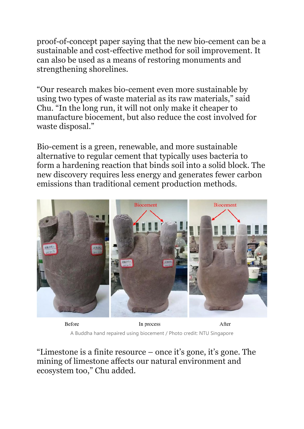proof-of-concept paper saying that the new bio-cement can be a sustainable and cost-effective method for soil improvement. It can also be used as a means of restoring monuments and strengthening shorelines.

"Our research makes bio-cement even more sustainable by using two types of waste material as its raw materials," said Chu. "In the long run, it will not only make it cheaper to manufacture biocement, but also reduce the cost involved for waste disposal."

Bio-cement is a green, renewable, and more sustainable alternative to regular cement that typically uses bacteria to form a hardening reaction that binds soil into a solid block. The new discovery requires less energy and generates fewer carbon emissions than traditional cement production methods.



Before

After In process A Buddha hand repaired using biocement / Photo credit: NTU Singapore

"Limestone is a finite resource – once it's gone, it's gone. The mining of limestone affects our natural environment and ecosystem too," Chu added.